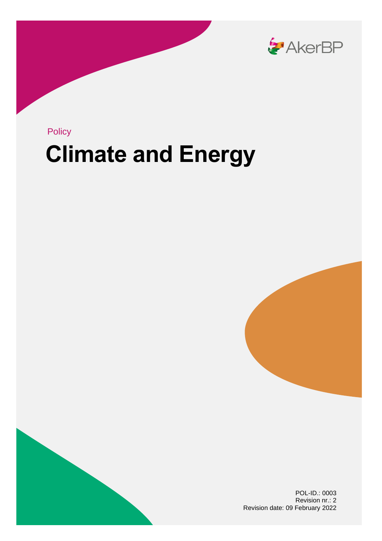

## **Climate and Energy** Policy





POL-ID.: 0003 Revision nr.: 2 Revision date: 09 February 2022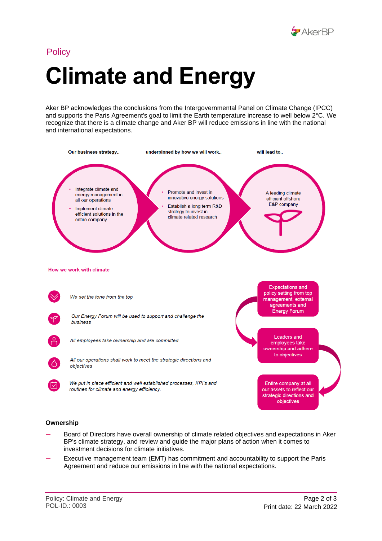

# **Climate and Energy Policy**

Aker BP acknowledges the conclusions from the Intergovernmental Panel on Climate Change (IPCC) and supports the Paris Agreement's goal to limit the Earth temperature increase to well below 2°C. We recognize that there is a climate change and Aker BP will reduce emissions in line with the national and international expectations.



#### **Ownership**

- Board of Directors have overall ownership of climate related objectives and expectations in Aker BP's climate strategy, and review and guide the major plans of action when it comes to investment decisions for climate initiatives.
- Executive management team (EMT) has commitment and accountability to support the Paris Agreement and reduce our emissions in line with the national expectations.